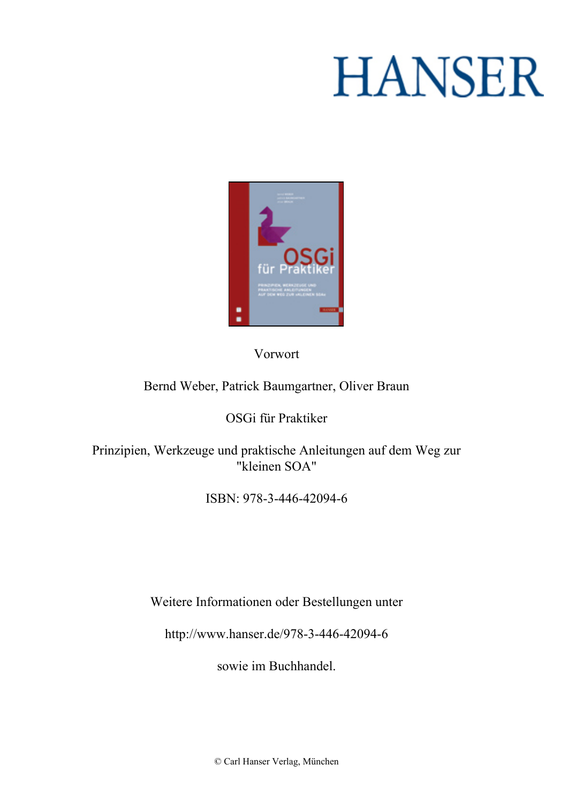# **HANSER**



**Vorwort**

#### **Bernd Weber, Patrick Baumgartner, Oliver Braun**

#### **OSGi für Praktiker**

**Prinzipien, Werkzeuge und praktische Anleitungen auf dem Weg zur "kleinen SOA"**

**ISBN: 978-3-446-42094-6**

**Weitere Informationen oder Bestellungen unter**

**<http://www.hanser.de/978-3-446-42094-6>**

**sowie im Buchhandel.**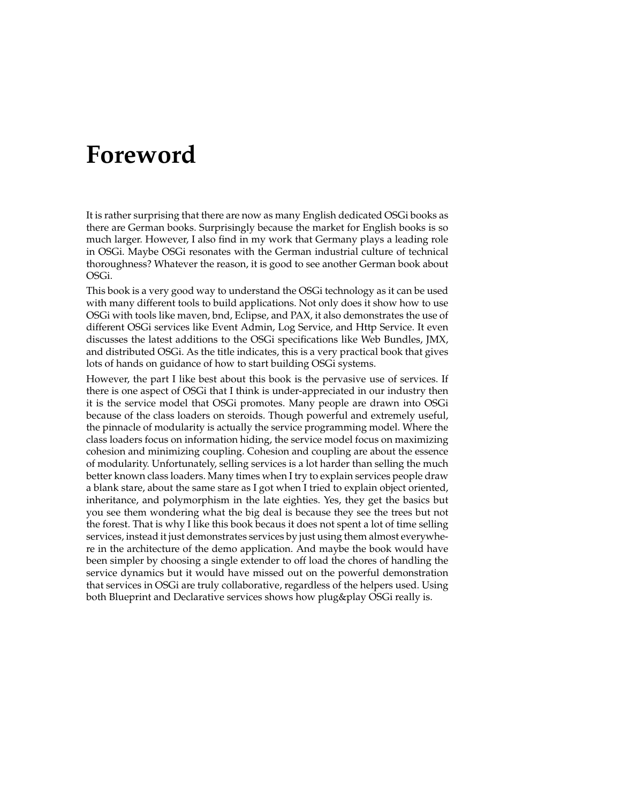### **Foreword**

It is rather surprising that there are now as many English dedicated OSGi books as there are German books. Surprisingly because the market for English books is so much larger. However, I also find in my work that Germany plays a leading role in OSGi. Maybe OSGi resonates with the German industrial culture of technical thoroughness? Whatever the reason, it is good to see another German book about OSGi.

This book is a very good way to understand the OSGi technology as it can be used with many different tools to build applications. Not only does it show how to use OSGi with tools like maven, bnd, Eclipse, and PAX, it also demonstrates the use of different OSGi services like Event Admin, Log Service, and Http Service. It even discusses the latest additions to the OSGi specifications like Web Bundles, JMX, and distributed OSGi. As the title indicates, this is a very practical book that gives lots of hands on guidance of how to start building OSGi systems.

However, the part I like best about this book is the pervasive use of services. If there is one aspect of OSGi that I think is under-appreciated in our industry then it is the service model that OSGi promotes. Many people are drawn into OSGi because of the class loaders on steroids. Though powerful and extremely useful, the pinnacle of modularity is actually the service programming model. Where the class loaders focus on information hiding, the service model focus on maximizing cohesion and minimizing coupling. Cohesion and coupling are about the essence of modularity. Unfortunately, selling services is a lot harder than selling the much better known class loaders. Many times when I try to explain services people draw a blank stare, about the same stare as I got when I tried to explain object oriented, inheritance, and polymorphism in the late eighties. Yes, they get the basics but you see them wondering what the big deal is because they see the trees but not the forest. That is why I like this book becaus it does not spent a lot of time selling services, instead it just demonstrates services by just using them almost everywhere in the architecture of the demo application. And maybe the book would have been simpler by choosing a single extender to off load the chores of handling the service dynamics but it would have missed out on the powerful demonstration that services in OSGi are truly collaborative, regardless of the helpers used. Using both Blueprint and Declarative services shows how plug&play OSGi really is.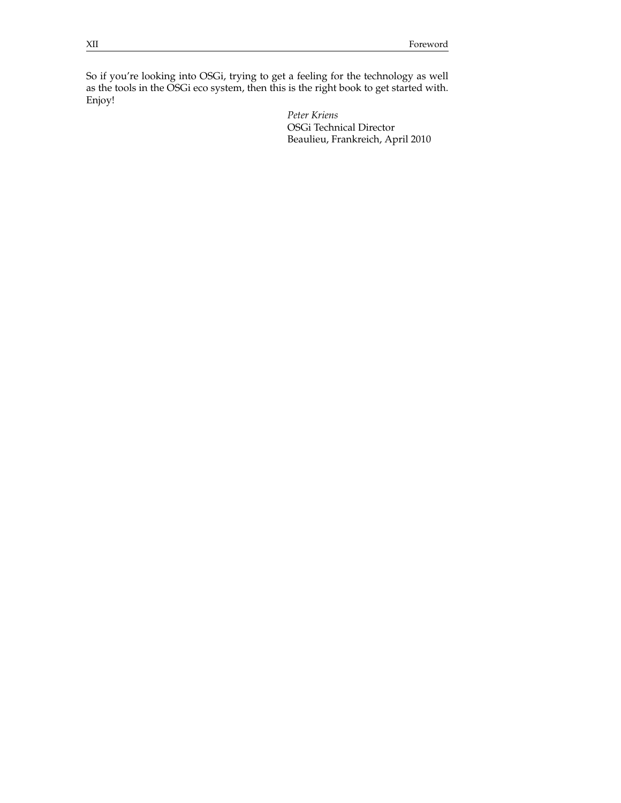So if you're looking into OSGi, trying to get a feeling for the technology as well as the tools in the OSGi eco system, then this is the right book to get started with. Enjoy!

> *Peter Kriens* OSGi Technical Director Beaulieu, Frankreich, April 2010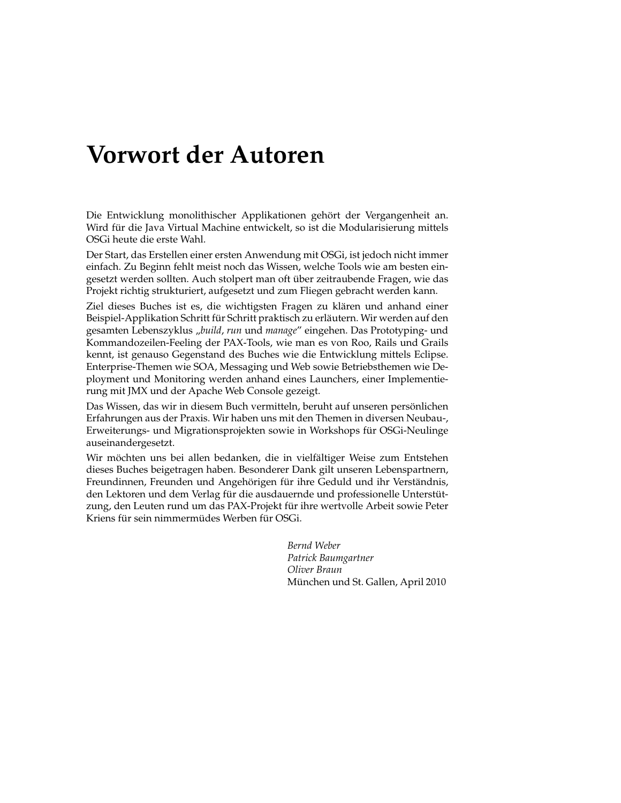## **Vorwort der Autoren**

Die Entwicklung monolithischer Applikationen gehört der Vergangenheit an. Wird für die Java Virtual Machine entwickelt, so ist die Modularisierung mittels OSGi heute die erste Wahl.

Der Start, das Erstellen einer ersten Anwendung mit OSGi, ist jedoch nicht immer einfach. Zu Beginn fehlt meist noch das Wissen, welche Tools wie am besten eingesetzt werden sollten. Auch stolpert man oft über zeitraubende Fragen, wie das Projekt richtig strukturiert, aufgesetzt und zum Fliegen gebracht werden kann.

Ziel dieses Buches ist es, die wichtigsten Fragen zu klären und anhand einer Beispiel-Applikation Schritt für Schritt praktisch zu erläutern. Wir werden auf den gesamten Lebenszyklus "*build*, *run* und *manage*" eingehen. Das Prototyping- und Kommandozeilen-Feeling der PAX-Tools, wie man es von Roo, Rails und Grails kennt, ist genauso Gegenstand des Buches wie die Entwicklung mittels Eclipse. Enterprise-Themen wie SOA, Messaging und Web sowie Betriebsthemen wie Deployment und Monitoring werden anhand eines Launchers, einer Implementierung mit JMX und der Apache Web Console gezeigt.

Das Wissen, das wir in diesem Buch vermitteln, beruht auf unseren persönlichen Erfahrungen aus der Praxis. Wir haben uns mit den Themen in diversen Neubau-, Erweiterungs- und Migrationsprojekten sowie in Workshops für OSGi-Neulinge auseinandergesetzt.

Wir möchten uns bei allen bedanken, die in vielfältiger Weise zum Entstehen dieses Buches beigetragen haben. Besonderer Dank gilt unseren Lebenspartnern, Freundinnen, Freunden und Angehörigen für ihre Geduld und ihr Verständnis, den Lektoren und dem Verlag für die ausdauernde und professionelle Unterstützung, den Leuten rund um das PAX-Projekt für ihre wertvolle Arbeit sowie Peter Kriens für sein nimmermüdes Werben für OSGi.

> *Bernd Weber Patrick Baumgartner Oliver Braun* München und St. Gallen, April 2010